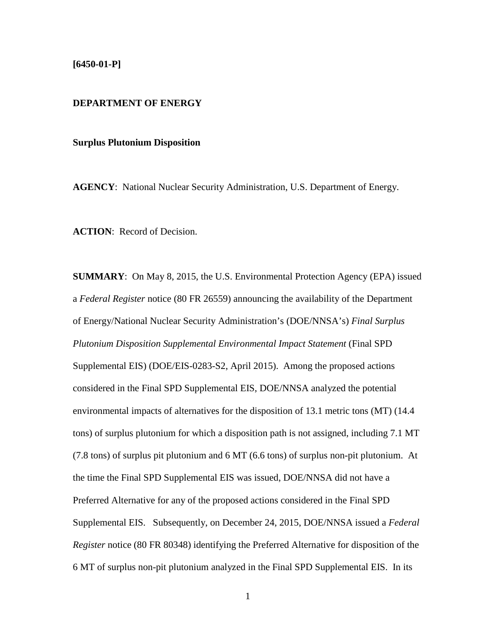## **[6450-01-P]**

# **DEPARTMENT OF ENERGY**

### **Surplus Plutonium Disposition**

**AGENCY**: National Nuclear Security Administration, U.S. Department of Energy.

**ACTION**: Record of Decision.

**SUMMARY**: On May 8, 2015, the U.S. Environmental Protection Agency (EPA) issued a *Federal Register* notice (80 FR 26559) announcing the availability of the Department of Energy/National Nuclear Security Administration's (DOE/NNSA's) *Final Surplus Plutonium Disposition Supplemental Environmental Impact Statement* (Final SPD Supplemental EIS) (DOE/EIS-0283-S2, April 2015). Among the proposed actions considered in the Final SPD Supplemental EIS, DOE/NNSA analyzed the potential environmental impacts of alternatives for the disposition of 13.1 metric tons (MT) (14.4 tons) of surplus plutonium for which a disposition path is not assigned, including 7.1 MT (7.8 tons) of surplus pit plutonium and 6 MT (6.6 tons) of surplus non-pit plutonium. At the time the Final SPD Supplemental EIS was issued, DOE/NNSA did not have a Preferred Alternative for any of the proposed actions considered in the Final SPD Supplemental EIS. Subsequently, on December 24, 2015, DOE/NNSA issued a *Federal Register* notice (80 FR 80348) identifying the Preferred Alternative for disposition of the 6 MT of surplus non-pit plutonium analyzed in the Final SPD Supplemental EIS. In its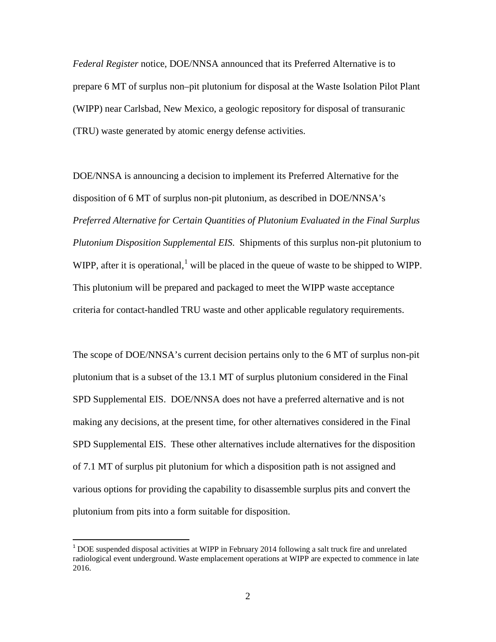*Federal Register* notice, DOE/NNSA announced that its Preferred Alternative is to prepare 6 MT of surplus non–pit plutonium for disposal at the Waste Isolation Pilot Plant (WIPP) near Carlsbad, New Mexico, a geologic repository for disposal of transuranic (TRU) waste generated by atomic energy defense activities.

DOE/NNSA is announcing a decision to implement its Preferred Alternative for the disposition of 6 MT of surplus non-pit plutonium, as described in DOE/NNSA's *Preferred Alternative for Certain Quantities of Plutonium Evaluated in the Final Surplus Plutonium Disposition Supplemental EIS*. Shipments of this surplus non-pit plutonium to WIPP, after it is operational,<sup>[1](#page-1-0)</sup> will be placed in the queue of waste to be shipped to WIPP. This plutonium will be prepared and packaged to meet the WIPP waste acceptance criteria for contact-handled TRU waste and other applicable regulatory requirements.

The scope of DOE/NNSA's current decision pertains only to the 6 MT of surplus non-pit plutonium that is a subset of the 13.1 MT of surplus plutonium considered in the Final SPD Supplemental EIS. DOE/NNSA does not have a preferred alternative and is not making any decisions, at the present time, for other alternatives considered in the Final SPD Supplemental EIS. These other alternatives include alternatives for the disposition of 7.1 MT of surplus pit plutonium for which a disposition path is not assigned and various options for providing the capability to disassemble surplus pits and convert the plutonium from pits into a form suitable for disposition.

<span id="page-1-0"></span> $1^{1}$  DOE suspended disposal activities at WIPP in February 2014 following a salt truck fire and unrelated radiological event underground. Waste emplacement operations at WIPP are expected to commence in late 2016.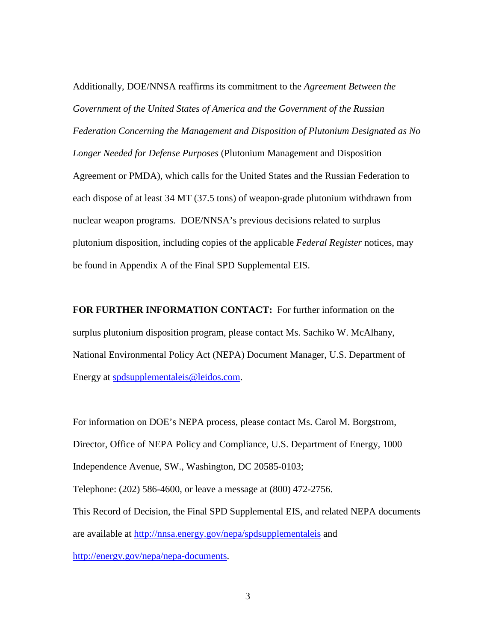Additionally, DOE/NNSA reaffirms its commitment to the *Agreement Between the Government of the United States of America and the Government of the Russian Federation Concerning the Management and Disposition of Plutonium Designated as No Longer Needed for Defense Purposes* (Plutonium Management and Disposition Agreement or PMDA), which calls for the United States and the Russian Federation to each dispose of at least 34 MT (37.5 tons) of weapon-grade plutonium withdrawn from nuclear weapon programs. DOE/NNSA's previous decisions related to surplus plutonium disposition, including copies of the applicable *Federal Register* notices, may be found in Appendix A of the Final SPD Supplemental EIS.

**FOR FURTHER INFORMATION CONTACT:** For further information on the surplus plutonium disposition program, please contact Ms. Sachiko W. McAlhany, National Environmental Policy Act (NEPA) Document Manager, U.S. Department of Energy at [spdsupplementaleis@leidos.com.](mailto:spdsupplementaleis@leidos.com)

For information on DOE's NEPA process, please contact Ms. Carol M. Borgstrom, Director, Office of NEPA Policy and Compliance, U.S. Department of Energy, 1000 Independence Avenue, SW., Washington, DC 20585-0103; Telephone: (202) 586-4600, or leave a message at (800) 472-2756. This Record of Decision, the Final SPD Supplemental EIS, and related NEPA documents are available at <http://nnsa.energy.gov/nepa/spdsupplementaleis> and [http://energy.gov/nepa/nepa-documents.](http://energy.gov/nepa/nepa-documents)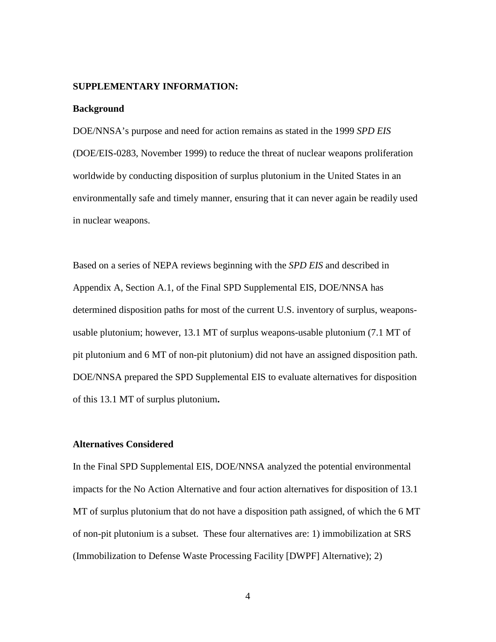## **SUPPLEMENTARY INFORMATION:**

#### **Background**

DOE/NNSA's purpose and need for action remains as stated in the 1999 *SPD EIS*  (DOE/EIS-0283, November 1999) to reduce the threat of nuclear weapons proliferation worldwide by conducting disposition of surplus plutonium in the United States in an environmentally safe and timely manner, ensuring that it can never again be readily used in nuclear weapons.

Based on a series of NEPA reviews beginning with the *SPD EIS* and described in Appendix A, Section A.1, of the Final SPD Supplemental EIS, DOE/NNSA has determined disposition paths for most of the current U.S. inventory of surplus, weaponsusable plutonium; however, 13.1 MT of surplus weapons-usable plutonium (7.1 MT of pit plutonium and 6 MT of non-pit plutonium) did not have an assigned disposition path. DOE/NNSA prepared the SPD Supplemental EIS to evaluate alternatives for disposition of this 13.1 MT of surplus plutonium**.** 

## **Alternatives Considered**

In the Final SPD Supplemental EIS, DOE/NNSA analyzed the potential environmental impacts for the No Action Alternative and four action alternatives for disposition of 13.1 MT of surplus plutonium that do not have a disposition path assigned, of which the 6 MT of non-pit plutonium is a subset. These four alternatives are: 1) immobilization at SRS (Immobilization to Defense Waste Processing Facility [DWPF] Alternative); 2)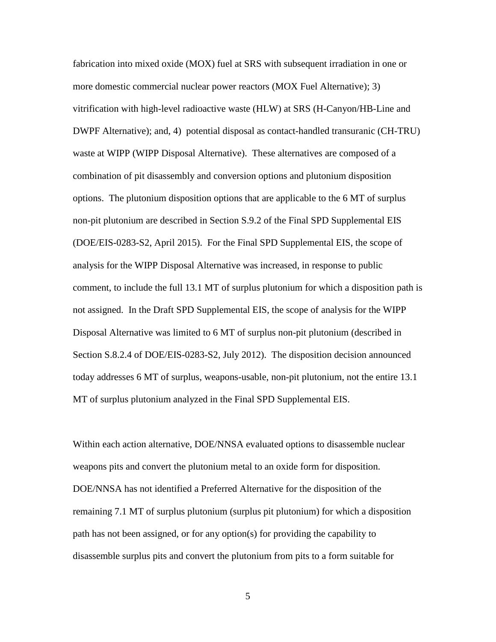fabrication into mixed oxide (MOX) fuel at SRS with subsequent irradiation in one or more domestic commercial nuclear power reactors (MOX Fuel Alternative); 3) vitrification with high-level radioactive waste (HLW) at SRS (H-Canyon/HB-Line and DWPF Alternative); and, 4) potential disposal as contact-handled transuranic (CH-TRU) waste at WIPP (WIPP Disposal Alternative). These alternatives are composed of a combination of pit disassembly and conversion options and plutonium disposition options. The plutonium disposition options that are applicable to the 6 MT of surplus non-pit plutonium are described in Section S.9.2 of the Final SPD Supplemental EIS (DOE/EIS-0283-S2, April 2015). For the Final SPD Supplemental EIS, the scope of analysis for the WIPP Disposal Alternative was increased, in response to public comment, to include the full 13.1 MT of surplus plutonium for which a disposition path is not assigned. In the Draft SPD Supplemental EIS, the scope of analysis for the WIPP Disposal Alternative was limited to 6 MT of surplus non-pit plutonium (described in Section S.8.2.4 of DOE/EIS-0283-S2, July 2012). The disposition decision announced today addresses 6 MT of surplus, weapons-usable, non-pit plutonium, not the entire 13.1 MT of surplus plutonium analyzed in the Final SPD Supplemental EIS.

Within each action alternative, DOE/NNSA evaluated options to disassemble nuclear weapons pits and convert the plutonium metal to an oxide form for disposition. DOE/NNSA has not identified a Preferred Alternative for the disposition of the remaining 7.1 MT of surplus plutonium (surplus pit plutonium) for which a disposition path has not been assigned, or for any option(s) for providing the capability to disassemble surplus pits and convert the plutonium from pits to a form suitable for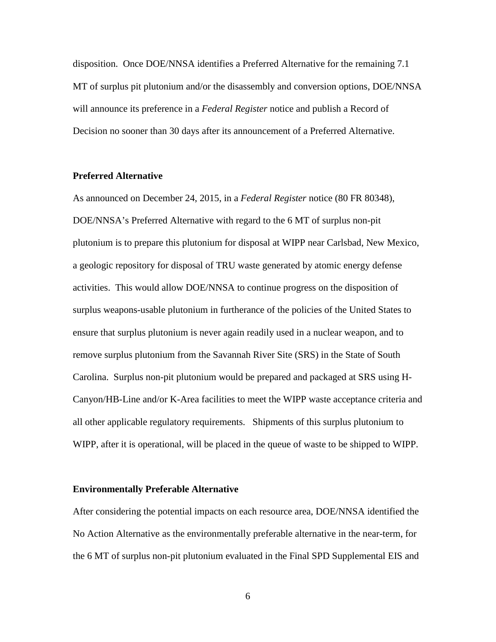disposition. Once DOE/NNSA identifies a Preferred Alternative for the remaining 7.1 MT of surplus pit plutonium and/or the disassembly and conversion options, DOE/NNSA will announce its preference in a *Federal Register* notice and publish a Record of Decision no sooner than 30 days after its announcement of a Preferred Alternative.

## **Preferred Alternative**

As announced on December 24, 2015, in a *Federal Register* notice (80 FR 80348), DOE/NNSA's Preferred Alternative with regard to the 6 MT of surplus non-pit plutonium is to prepare this plutonium for disposal at WIPP near Carlsbad, New Mexico, a geologic repository for disposal of TRU waste generated by atomic energy defense activities. This would allow DOE/NNSA to continue progress on the disposition of surplus weapons-usable plutonium in furtherance of the policies of the United States to ensure that surplus plutonium is never again readily used in a nuclear weapon, and to remove surplus plutonium from the Savannah River Site (SRS) in the State of South Carolina. Surplus non-pit plutonium would be prepared and packaged at SRS using H-Canyon/HB-Line and/or K-Area facilities to meet the WIPP waste acceptance criteria and all other applicable regulatory requirements. Shipments of this surplus plutonium to WIPP, after it is operational, will be placed in the queue of waste to be shipped to WIPP.

## **Environmentally Preferable Alternative**

After considering the potential impacts on each resource area, DOE/NNSA identified the No Action Alternative as the environmentally preferable alternative in the near-term, for the 6 MT of surplus non-pit plutonium evaluated in the Final SPD Supplemental EIS and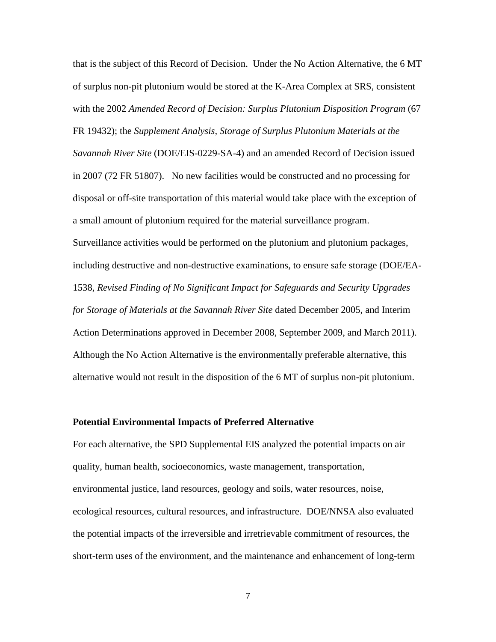that is the subject of this Record of Decision. Under the No Action Alternative, the 6 MT of surplus non-pit plutonium would be stored at the K-Area Complex at SRS, consistent with the 2002 *Amended Record of Decision: Surplus Plutonium Disposition Program* (67 FR 19432); the *Supplement Analysis, Storage of Surplus Plutonium Materials at the Savannah River Site* (DOE/EIS-0229-SA-4) and an amended Record of Decision issued in 2007 (72 FR 51807). No new facilities would be constructed and no processing for disposal or off-site transportation of this material would take place with the exception of a small amount of plutonium required for the material surveillance program. Surveillance activities would be performed on the plutonium and plutonium packages, including destructive and non-destructive examinations, to ensure safe storage (DOE/EA-1538, *Revised Finding of No Significant Impact for Safeguards and Security Upgrades for Storage of Materials at the Savannah River Site* dated December 2005, and Interim Action Determinations approved in December 2008, September 2009, and March 2011). Although the No Action Alternative is the environmentally preferable alternative, this alternative would not result in the disposition of the 6 MT of surplus non-pit plutonium.

### **Potential Environmental Impacts of Preferred Alternative**

For each alternative, the SPD Supplemental EIS analyzed the potential impacts on air quality, human health, socioeconomics, waste management, transportation, environmental justice, land resources, geology and soils, water resources, noise, ecological resources, cultural resources, and infrastructure. DOE/NNSA also evaluated the potential impacts of the irreversible and irretrievable commitment of resources, the short-term uses of the environment, and the maintenance and enhancement of long-term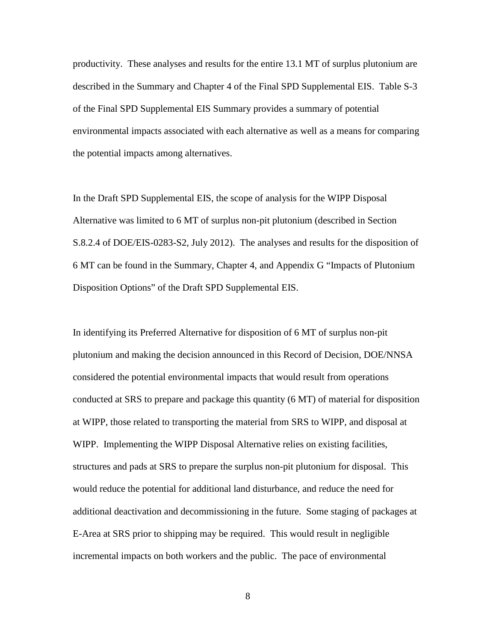productivity. These analyses and results for the entire 13.1 MT of surplus plutonium are described in the Summary and Chapter 4 of the Final SPD Supplemental EIS. Table S-3 of the Final SPD Supplemental EIS Summary provides a summary of potential environmental impacts associated with each alternative as well as a means for comparing the potential impacts among alternatives.

In the Draft SPD Supplemental EIS, the scope of analysis for the WIPP Disposal Alternative was limited to 6 MT of surplus non-pit plutonium (described in Section S.8.2.4 of DOE/EIS-0283-S2, July 2012). The analyses and results for the disposition of 6 MT can be found in the Summary, Chapter 4, and Appendix G "Impacts of Plutonium Disposition Options" of the Draft SPD Supplemental EIS.

In identifying its Preferred Alternative for disposition of 6 MT of surplus non-pit plutonium and making the decision announced in this Record of Decision, DOE/NNSA considered the potential environmental impacts that would result from operations conducted at SRS to prepare and package this quantity (6 MT) of material for disposition at WIPP, those related to transporting the material from SRS to WIPP, and disposal at WIPP. Implementing the WIPP Disposal Alternative relies on existing facilities, structures and pads at SRS to prepare the surplus non-pit plutonium for disposal. This would reduce the potential for additional land disturbance, and reduce the need for additional deactivation and decommissioning in the future. Some staging of packages at E-Area at SRS prior to shipping may be required. This would result in negligible incremental impacts on both workers and the public. The pace of environmental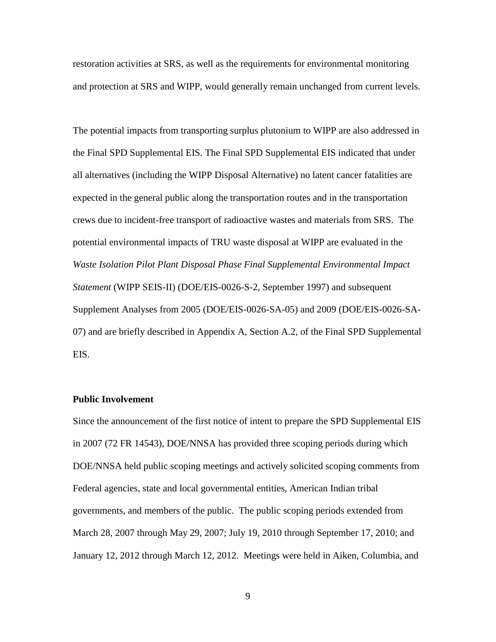restoration activities at SRS, as well as the requirements for environmental monitoring and protection at SRS and WIPP, would generally remain unchanged from current levels.

The potential impacts from transporting surplus plutonium to WIPP are also addressed in the Final SPD Supplemental EIS. The Final SPD Supplemental EIS indicated that under all alternatives (including the WIPP Disposal Alternative) no latent cancer fatalities are expected in the general public along the transportation routes and in the transportation crews due to incident-free transport of radioactive wastes and materials from SRS. The potential environmental impacts of TRU waste disposal at WIPP are evaluated in the *Waste Isolation Pilot Plant Disposal Phase Final Supplemental Environmental Impact Statement* (WIPP SEIS-II) (DOE/EIS-0026-S-2, September 1997) and subsequent Supplement Analyses from 2005 (DOE/EIS-0026-SA-05) and 2009 (DOE/EIS-0026-SA-07) and are briefly described in Appendix A, Section A.2, of the Final SPD Supplemental EIS.

# **Public Involvement**

Since the announcement of the first notice of intent to prepare the SPD Supplemental EIS in 2007 (72 FR 14543), DOE/NNSA has provided three scoping periods during which DOE/NNSA held public scoping meetings and actively solicited scoping comments from Federal agencies, state and local governmental entities, American Indian tribal governments, and members of the public. The public scoping periods extended from March 28, 2007 through May 29, 2007; July 19, 2010 through September 17, 2010; and January 12, 2012 through March 12, 2012. Meetings were held in Aiken, Columbia, and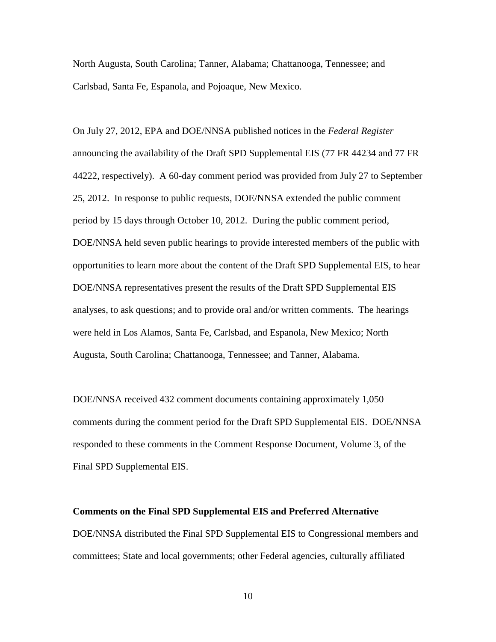North Augusta, South Carolina; Tanner, Alabama; Chattanooga, Tennessee; and Carlsbad, Santa Fe, Espanola, and Pojoaque, New Mexico.

On July 27, 2012, EPA and DOE/NNSA published notices in the *Federal Register* announcing the availability of the Draft SPD Supplemental EIS (77 FR 44234 and 77 FR 44222, respectively). A 60-day comment period was provided from July 27 to September 25, 2012. In response to public requests, DOE/NNSA extended the public comment period by 15 days through October 10, 2012. During the public comment period, DOE/NNSA held seven public hearings to provide interested members of the public with opportunities to learn more about the content of the Draft SPD Supplemental EIS, to hear DOE/NNSA representatives present the results of the Draft SPD Supplemental EIS analyses, to ask questions; and to provide oral and/or written comments. The hearings were held in Los Alamos, Santa Fe, Carlsbad, and Espanola, New Mexico; North Augusta, South Carolina; Chattanooga, Tennessee; and Tanner, Alabama.

DOE/NNSA received 432 comment documents containing approximately 1,050 comments during the comment period for the Draft SPD Supplemental EIS. DOE/NNSA responded to these comments in the Comment Response Document, Volume 3, of the Final SPD Supplemental EIS.

#### **Comments on the Final SPD Supplemental EIS and Preferred Alternative**

DOE/NNSA distributed the Final SPD Supplemental EIS to Congressional members and committees; State and local governments; other Federal agencies, culturally affiliated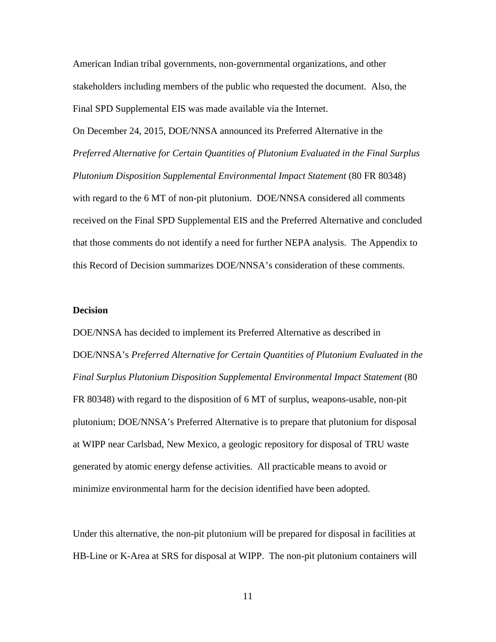American Indian tribal governments, non-governmental organizations, and other stakeholders including members of the public who requested the document. Also, the Final SPD Supplemental EIS was made available via the Internet.

On December 24, 2015, DOE/NNSA announced its Preferred Alternative in the *Preferred Alternative for Certain Quantities of Plutonium Evaluated in the Final Surplus Plutonium Disposition Supplemental Environmental Impact Statement* (80 FR 80348) with regard to the 6 MT of non-pit plutonium. DOE/NNSA considered all comments received on the Final SPD Supplemental EIS and the Preferred Alternative and concluded that those comments do not identify a need for further NEPA analysis. The Appendix to this Record of Decision summarizes DOE/NNSA's consideration of these comments.

## **Decision**

DOE/NNSA has decided to implement its Preferred Alternative as described in DOE/NNSA's *Preferred Alternative for Certain Quantities of Plutonium Evaluated in the Final Surplus Plutonium Disposition Supplemental Environmental Impact Statement* (80 FR 80348) with regard to the disposition of 6 MT of surplus, weapons-usable, non-pit plutonium; DOE/NNSA's Preferred Alternative is to prepare that plutonium for disposal at WIPP near Carlsbad, New Mexico, a geologic repository for disposal of TRU waste generated by atomic energy defense activities. All practicable means to avoid or minimize environmental harm for the decision identified have been adopted.

Under this alternative, the non-pit plutonium will be prepared for disposal in facilities at HB-Line or K-Area at SRS for disposal at WIPP. The non-pit plutonium containers will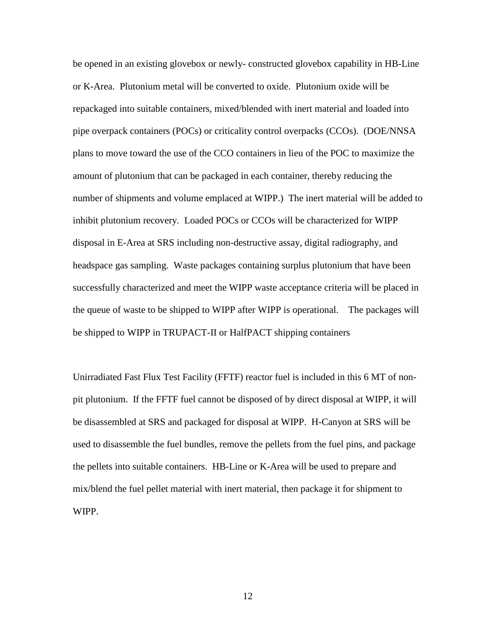be opened in an existing glovebox or newly- constructed glovebox capability in HB-Line or K-Area. Plutonium metal will be converted to oxide. Plutonium oxide will be repackaged into suitable containers, mixed/blended with inert material and loaded into pipe overpack containers (POCs) or criticality control overpacks (CCOs). (DOE/NNSA plans to move toward the use of the CCO containers in lieu of the POC to maximize the amount of plutonium that can be packaged in each container, thereby reducing the number of shipments and volume emplaced at WIPP.) The inert material will be added to inhibit plutonium recovery. Loaded POCs or CCOs will be characterized for WIPP disposal in E-Area at SRS including non-destructive assay, digital radiography, and headspace gas sampling. Waste packages containing surplus plutonium that have been successfully characterized and meet the WIPP waste acceptance criteria will be placed in the queue of waste to be shipped to WIPP after WIPP is operational. The packages will be shipped to WIPP in TRUPACT-II or HalfPACT shipping containers

Unirradiated Fast Flux Test Facility (FFTF) reactor fuel is included in this 6 MT of nonpit plutonium. If the FFTF fuel cannot be disposed of by direct disposal at WIPP, it will be disassembled at SRS and packaged for disposal at WIPP. H-Canyon at SRS will be used to disassemble the fuel bundles, remove the pellets from the fuel pins, and package the pellets into suitable containers. HB-Line or K-Area will be used to prepare and mix/blend the fuel pellet material with inert material, then package it for shipment to WIPP.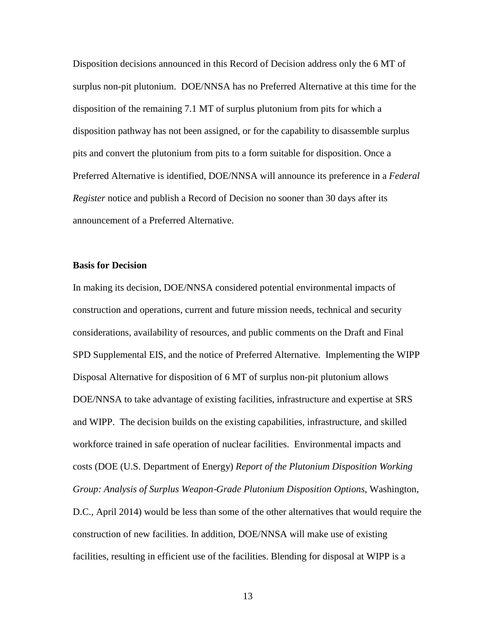Disposition decisions announced in this Record of Decision address only the 6 MT of surplus non-pit plutonium. DOE/NNSA has no Preferred Alternative at this time for the disposition of the remaining 7.1 MT of surplus plutonium from pits for which a disposition pathway has not been assigned, or for the capability to disassemble surplus pits and convert the plutonium from pits to a form suitable for disposition. Once a Preferred Alternative is identified, DOE/NNSA will announce its preference in a *Federal Register* notice and publish a Record of Decision no sooner than 30 days after its announcement of a Preferred Alternative.

## **Basis for Decision**

In making its decision, DOE/NNSA considered potential environmental impacts of construction and operations, current and future mission needs, technical and security considerations, availability of resources, and public comments on the Draft and Final SPD Supplemental EIS, and the notice of Preferred Alternative. Implementing the WIPP Disposal Alternative for disposition of 6 MT of surplus non-pit plutonium allows DOE/NNSA to take advantage of existing facilities, infrastructure and expertise at SRS and WIPP. The decision builds on the existing capabilities, infrastructure, and skilled workforce trained in safe operation of nuclear facilities. Environmental impacts and costs (DOE (U.S. Department of Energy) *Report of the Plutonium Disposition Working Group: Analysis of Surplus Weapon*‐*Grade Plutonium Disposition Options*, Washington, D.C., April 2014) would be less than some of the other alternatives that would require the construction of new facilities. In addition, DOE/NNSA will make use of existing facilities, resulting in efficient use of the facilities. Blending for disposal at WIPP is a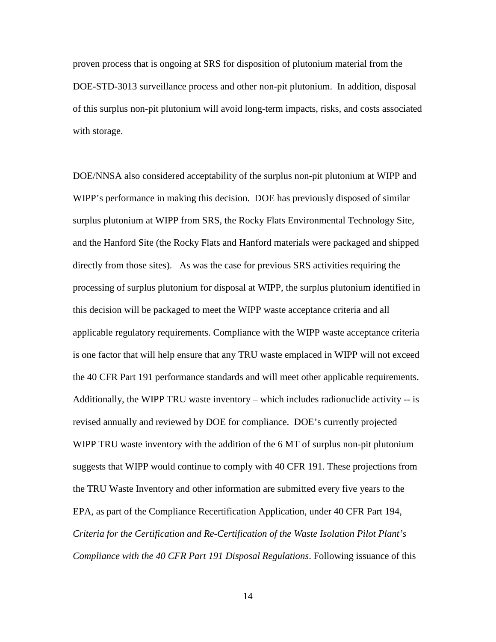proven process that is ongoing at SRS for disposition of plutonium material from the DOE-STD-3013 surveillance process and other non-pit plutonium. In addition, disposal of this surplus non-pit plutonium will avoid long-term impacts, risks, and costs associated with storage.

DOE/NNSA also considered acceptability of the surplus non-pit plutonium at WIPP and WIPP's performance in making this decision. DOE has previously disposed of similar surplus plutonium at WIPP from SRS, the Rocky Flats Environmental Technology Site, and the Hanford Site (the Rocky Flats and Hanford materials were packaged and shipped directly from those sites). As was the case for previous SRS activities requiring the processing of surplus plutonium for disposal at WIPP, the surplus plutonium identified in this decision will be packaged to meet the WIPP waste acceptance criteria and all applicable regulatory requirements. Compliance with the WIPP waste acceptance criteria is one factor that will help ensure that any TRU waste emplaced in WIPP will not exceed the 40 CFR Part 191 performance standards and will meet other applicable requirements. Additionally, the WIPP TRU waste inventory – which includes radionuclide activity -- is revised annually and reviewed by DOE for compliance. DOE's currently projected WIPP TRU waste inventory with the addition of the 6 MT of surplus non-pit plutonium suggests that WIPP would continue to comply with 40 CFR 191. These projections from the TRU Waste Inventory and other information are submitted every five years to the EPA, as part of the Compliance Recertification Application, under 40 CFR Part 194, *Criteria for the Certification and Re-Certification of the Waste Isolation Pilot Plant's Compliance with the 40 CFR Part 191 Disposal Regulations*. Following issuance of this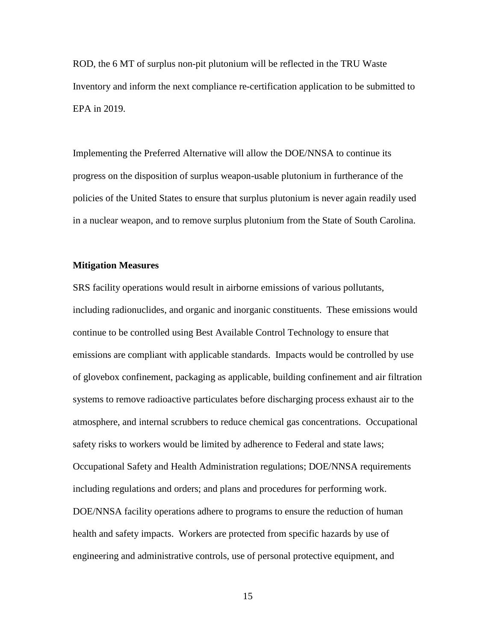ROD, the 6 MT of surplus non-pit plutonium will be reflected in the TRU Waste Inventory and inform the next compliance re-certification application to be submitted to EPA in 2019.

Implementing the Preferred Alternative will allow the DOE/NNSA to continue its progress on the disposition of surplus weapon-usable plutonium in furtherance of the policies of the United States to ensure that surplus plutonium is never again readily used in a nuclear weapon, and to remove surplus plutonium from the State of South Carolina.

## **Mitigation Measures**

SRS facility operations would result in airborne emissions of various pollutants, including radionuclides, and organic and inorganic constituents. These emissions would continue to be controlled using Best Available Control Technology to ensure that emissions are compliant with applicable standards. Impacts would be controlled by use of glovebox confinement, packaging as applicable, building confinement and air filtration systems to remove radioactive particulates before discharging process exhaust air to the atmosphere, and internal scrubbers to reduce chemical gas concentrations. Occupational safety risks to workers would be limited by adherence to Federal and state laws; Occupational Safety and Health Administration regulations; DOE/NNSA requirements including regulations and orders; and plans and procedures for performing work. DOE/NNSA facility operations adhere to programs to ensure the reduction of human health and safety impacts. Workers are protected from specific hazards by use of engineering and administrative controls, use of personal protective equipment, and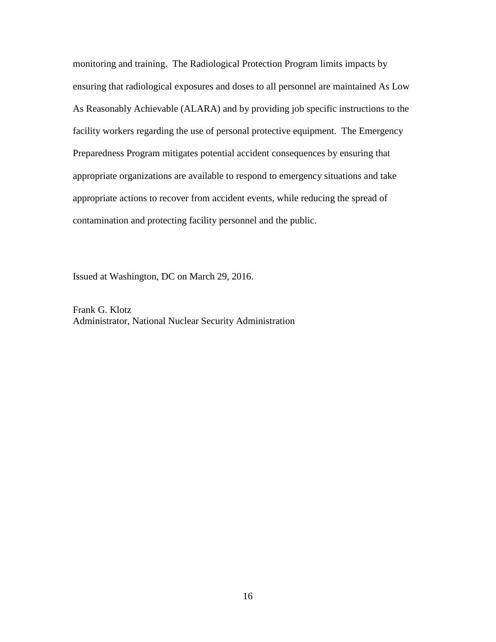monitoring and training. The Radiological Protection Program limits impacts by ensuring that radiological exposures and doses to all personnel are maintained As Low As Reasonably Achievable (ALARA) and by providing job specific instructions to the facility workers regarding the use of personal protective equipment. The Emergency Preparedness Program mitigates potential accident consequences by ensuring that appropriate organizations are available to respond to emergency situations and take appropriate actions to recover from accident events, while reducing the spread of contamination and protecting facility personnel and the public.

Issued at Washington, DC on March 29, 2016.

Frank G. Klotz Administrator, National Nuclear Security Administration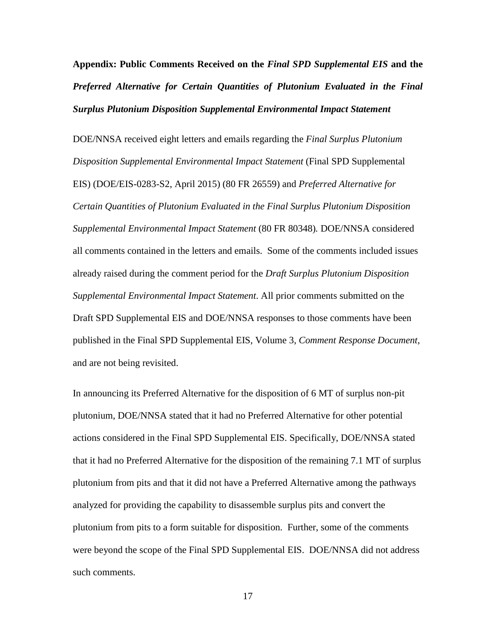**Appendix: Public Comments Received on the** *Final SPD Supplemental EIS* **and the**  *Preferred Alternative for Certain Quantities of Plutonium Evaluated in the Final Surplus Plutonium Disposition Supplemental Environmental Impact Statement*

DOE/NNSA received eight letters and emails regarding the *Final Surplus Plutonium Disposition Supplemental Environmental Impact Statement* (Final SPD Supplemental EIS) (DOE/EIS-0283-S2, April 2015) (80 FR 26559) and *Preferred Alternative for Certain Quantities of Plutonium Evaluated in the Final Surplus Plutonium Disposition Supplemental Environmental Impact Statement* (80 FR 80348)*.* DOE/NNSA considered all comments contained in the letters and emails. Some of the comments included issues already raised during the comment period for the *Draft Surplus Plutonium Disposition Supplemental Environmental Impact Statement*. All prior comments submitted on the Draft SPD Supplemental EIS and DOE/NNSA responses to those comments have been published in the Final SPD Supplemental EIS, Volume 3, *Comment Response Document*, and are not being revisited.

In announcing its Preferred Alternative for the disposition of 6 MT of surplus non-pit plutonium, DOE/NNSA stated that it had no Preferred Alternative for other potential actions considered in the Final SPD Supplemental EIS. Specifically, DOE/NNSA stated that it had no Preferred Alternative for the disposition of the remaining 7.1 MT of surplus plutonium from pits and that it did not have a Preferred Alternative among the pathways analyzed for providing the capability to disassemble surplus pits and convert the plutonium from pits to a form suitable for disposition. Further, some of the comments were beyond the scope of the Final SPD Supplemental EIS. DOE/NNSA did not address such comments.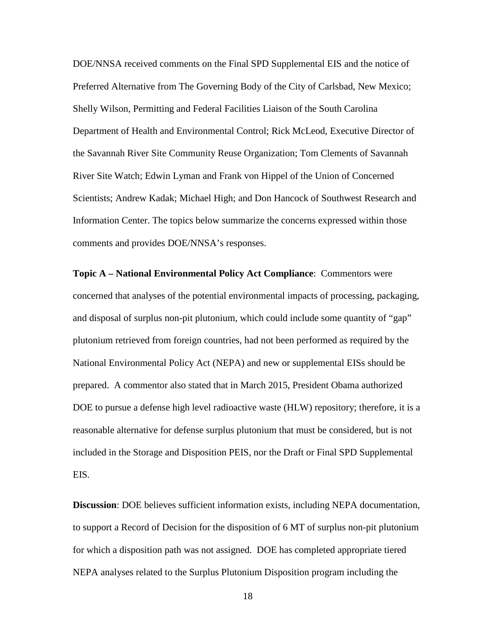DOE/NNSA received comments on the Final SPD Supplemental EIS and the notice of Preferred Alternative from The Governing Body of the City of Carlsbad, New Mexico; Shelly Wilson, Permitting and Federal Facilities Liaison of the South Carolina Department of Health and Environmental Control; Rick McLeod, Executive Director of the Savannah River Site Community Reuse Organization; Tom Clements of Savannah River Site Watch; Edwin Lyman and Frank von Hippel of the Union of Concerned Scientists; Andrew Kadak; Michael High; and Don Hancock of Southwest Research and Information Center. The topics below summarize the concerns expressed within those comments and provides DOE/NNSA's responses.

**Topic A – National Environmental Policy Act Compliance**: Commentors were concerned that analyses of the potential environmental impacts of processing, packaging, and disposal of surplus non-pit plutonium, which could include some quantity of "gap" plutonium retrieved from foreign countries, had not been performed as required by the National Environmental Policy Act (NEPA) and new or supplemental EISs should be prepared. A commentor also stated that in March 2015, President Obama authorized DOE to pursue a defense high level radioactive waste (HLW) repository; therefore, it is a reasonable alternative for defense surplus plutonium that must be considered, but is not included in the Storage and Disposition PEIS, nor the Draft or Final SPD Supplemental EIS*.* 

**Discussion**: DOE believes sufficient information exists, including NEPA documentation, to support a Record of Decision for the disposition of 6 MT of surplus non-pit plutonium for which a disposition path was not assigned. DOE has completed appropriate tiered NEPA analyses related to the Surplus Plutonium Disposition program including the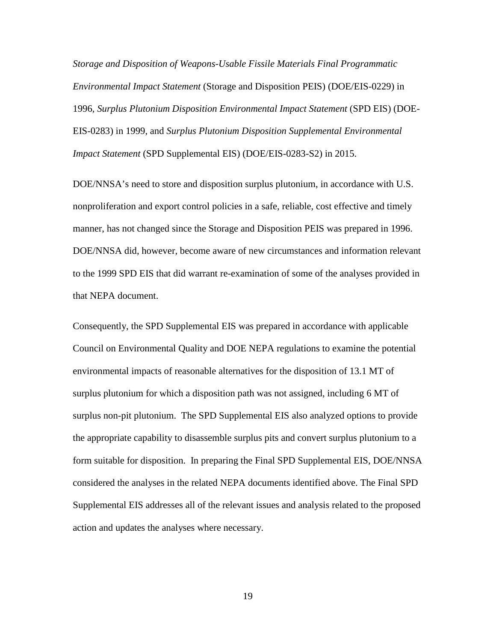*Storage and Disposition of Weapons-Usable Fissile Materials Final Programmatic Environmental Impact Statement* (Storage and Disposition PEIS) (DOE/EIS-0229) in 1996*, Surplus Plutonium Disposition Environmental Impact Statement* (SPD EIS) (DOE-EIS-0283) in 1999, and *Surplus Plutonium Disposition Supplemental Environmental Impact Statement* (SPD Supplemental EIS) (DOE/EIS-0283-S2) in 2015.

DOE/NNSA's need to store and disposition surplus plutonium, in accordance with U.S. nonproliferation and export control policies in a safe, reliable, cost effective and timely manner, has not changed since the Storage and Disposition PEIS was prepared in 1996. DOE/NNSA did, however, become aware of new circumstances and information relevant to the 1999 SPD EIS that did warrant re-examination of some of the analyses provided in that NEPA document.

Consequently, the SPD Supplemental EIS was prepared in accordance with applicable Council on Environmental Quality and DOE NEPA regulations to examine the potential environmental impacts of reasonable alternatives for the disposition of 13.1 MT of surplus plutonium for which a disposition path was not assigned, including 6 MT of surplus non-pit plutonium. The SPD Supplemental EIS also analyzed options to provide the appropriate capability to disassemble surplus pits and convert surplus plutonium to a form suitable for disposition. In preparing the Final SPD Supplemental EIS, DOE/NNSA considered the analyses in the related NEPA documents identified above. The Final SPD Supplemental EIS addresses all of the relevant issues and analysis related to the proposed action and updates the analyses where necessary.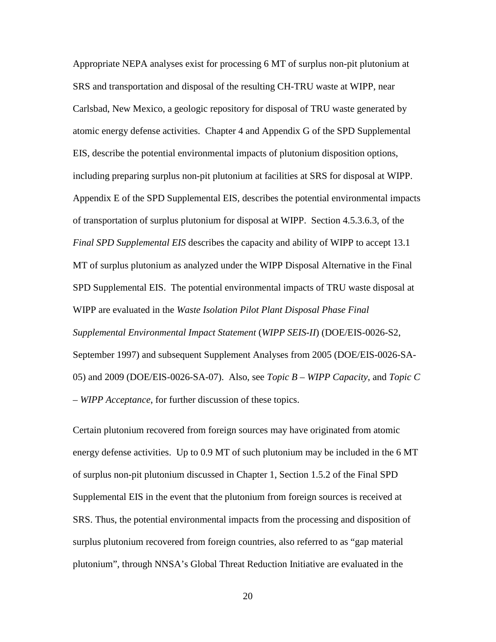Appropriate NEPA analyses exist for processing 6 MT of surplus non-pit plutonium at SRS and transportation and disposal of the resulting CH-TRU waste at WIPP, near Carlsbad, New Mexico, a geologic repository for disposal of TRU waste generated by atomic energy defense activities. Chapter 4 and Appendix G of the SPD Supplemental EIS, describe the potential environmental impacts of plutonium disposition options, including preparing surplus non-pit plutonium at facilities at SRS for disposal at WIPP. Appendix E of the SPD Supplemental EIS*,* describes the potential environmental impacts of transportation of surplus plutonium for disposal at WIPP. Section 4.5.3.6.3, of the *Final SPD Supplemental EIS* describes the capacity and ability of WIPP to accept 13.1 MT of surplus plutonium as analyzed under the WIPP Disposal Alternative in the Final SPD Supplemental EIS. The potential environmental impacts of TRU waste disposal at WIPP are evaluated in the *Waste Isolation Pilot Plant Disposal Phase Final Supplemental Environmental Impact Statement* (*WIPP SEIS-II*) (DOE/EIS-0026-S2, September 1997) and subsequent Supplement Analyses from 2005 (DOE/EIS-0026-SA-05) and 2009 (DOE/EIS-0026-SA-07). Also, see *Topic B – WIPP Capacity*, and *Topic C – WIPP Acceptance*, for further discussion of these topics.

Certain plutonium recovered from foreign sources may have originated from atomic energy defense activities. Up to 0.9 MT of such plutonium may be included in the 6 MT of surplus non-pit plutonium discussed in Chapter 1, Section 1.5.2 of the Final SPD Supplemental EIS in the event that the plutonium from foreign sources is received at SRS. Thus, the potential environmental impacts from the processing and disposition of surplus plutonium recovered from foreign countries, also referred to as "gap material plutonium", through NNSA's Global Threat Reduction Initiative are evaluated in the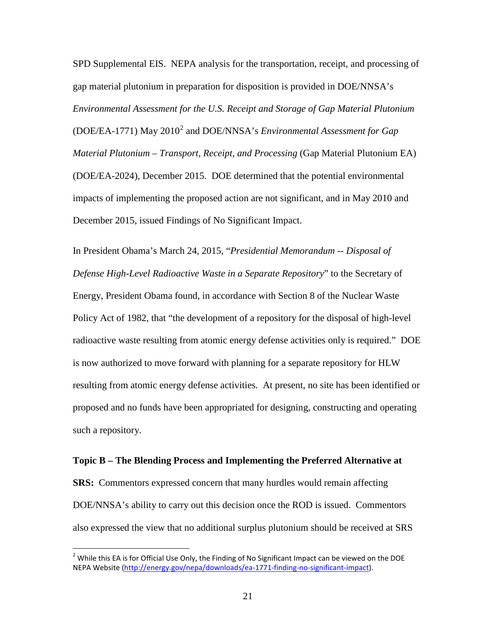SPD Supplemental EIS. NEPA analysis for the transportation, receipt, and processing of gap material plutonium in preparation for disposition is provided in DOE/NNSA's *Environmental Assessment for the U.S. Receipt and Storage of Gap Material Plutonium*  (DOE/EA-1771) May 2010[2](#page-20-0) and DOE/NNSA's *Environmental Assessment for Gap Material Plutonium – Transport, Receipt, and Processing* (Gap Material Plutonium EA) (DOE/EA-2024), December 2015. DOE determined that the potential environmental impacts of implementing the proposed action are not significant, and in May 2010 and December 2015, issued Findings of No Significant Impact.

In President Obama's March 24, 2015, "*Presidential Memorandum -- Disposal of Defense High-Level Radioactive Waste in a Separate Repository*" to the Secretary of Energy, President Obama found, in accordance with Section 8 of the Nuclear Waste Policy Act of 1982, that "the development of a repository for the disposal of high-level radioactive waste resulting from atomic energy defense activities only is required." DOE is now authorized to move forward with planning for a separate repository for HLW resulting from atomic energy defense activities. At present, no site has been identified or proposed and no funds have been appropriated for designing, constructing and operating such a repository.

## **Topic B – The Blending Process and Implementing the Preferred Alternative at**

**SRS:** Commentors expressed concern that many hurdles would remain affecting DOE/NNSA's ability to carry out this decision once the ROD is issued. Commentors also expressed the view that no additional surplus plutonium should be received at SRS

<span id="page-20-0"></span><sup>&</sup>lt;sup>2</sup> While this EA is for Official Use Only, the Finding of No Significant Impact can be viewed on the DOE NEPA Website [\(http://energy.gov/nepa/downloads/ea-1771-finding-no-significant-impact\)](http://energy.gov/nepa/downloads/ea-1771-finding-no-significant-impact).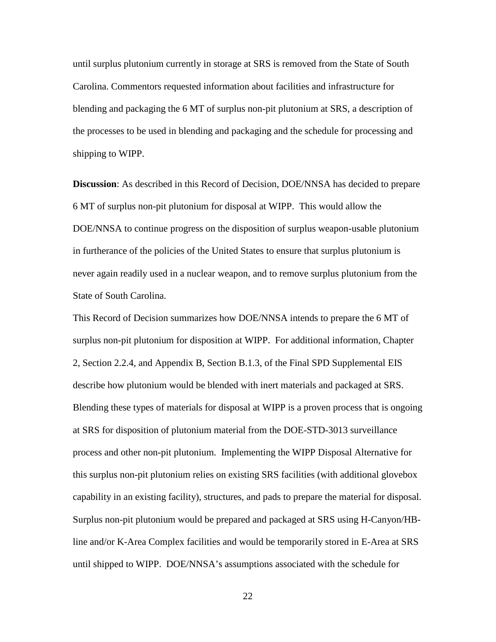until surplus plutonium currently in storage at SRS is removed from the State of South Carolina. Commentors requested information about facilities and infrastructure for blending and packaging the 6 MT of surplus non-pit plutonium at SRS, a description of the processes to be used in blending and packaging and the schedule for processing and shipping to WIPP.

**Discussion**: As described in this Record of Decision, DOE/NNSA has decided to prepare 6 MT of surplus non-pit plutonium for disposal at WIPP. This would allow the DOE/NNSA to continue progress on the disposition of surplus weapon-usable plutonium in furtherance of the policies of the United States to ensure that surplus plutonium is never again readily used in a nuclear weapon, and to remove surplus plutonium from the State of South Carolina.

This Record of Decision summarizes how DOE/NNSA intends to prepare the 6 MT of surplus non-pit plutonium for disposition at WIPP. For additional information, Chapter 2, Section 2.2.4, and Appendix B, Section B.1.3, of the Final SPD Supplemental EIS describe how plutonium would be blended with inert materials and packaged at SRS. Blending these types of materials for disposal at WIPP is a proven process that is ongoing at SRS for disposition of plutonium material from the DOE-STD-3013 surveillance process and other non-pit plutonium. Implementing the WIPP Disposal Alternative for this surplus non-pit plutonium relies on existing SRS facilities (with additional glovebox capability in an existing facility), structures, and pads to prepare the material for disposal. Surplus non-pit plutonium would be prepared and packaged at SRS using H-Canyon/HBline and/or K-Area Complex facilities and would be temporarily stored in E-Area at SRS until shipped to WIPP. DOE/NNSA's assumptions associated with the schedule for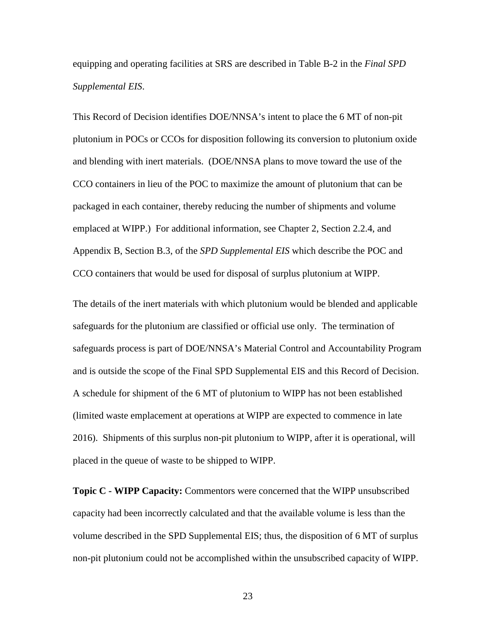equipping and operating facilities at SRS are described in Table B-2 in the *Final SPD Supplemental EIS*.

This Record of Decision identifies DOE/NNSA's intent to place the 6 MT of non-pit plutonium in POCs or CCOs for disposition following its conversion to plutonium oxide and blending with inert materials. (DOE/NNSA plans to move toward the use of the CCO containers in lieu of the POC to maximize the amount of plutonium that can be packaged in each container, thereby reducing the number of shipments and volume emplaced at WIPP.) For additional information, see Chapter 2, Section 2.2.4, and Appendix B, Section B.3, of the *SPD Supplemental EIS* which describe the POC and CCO containers that would be used for disposal of surplus plutonium at WIPP.

The details of the inert materials with which plutonium would be blended and applicable safeguards for the plutonium are classified or official use only. The termination of safeguards process is part of DOE/NNSA's Material Control and Accountability Program and is outside the scope of the Final SPD Supplemental EIS and this Record of Decision. A schedule for shipment of the 6 MT of plutonium to WIPP has not been established (limited waste emplacement at operations at WIPP are expected to commence in late 2016). Shipments of this surplus non-pit plutonium to WIPP, after it is operational, will placed in the queue of waste to be shipped to WIPP.

**Topic C - WIPP Capacity:** Commentors were concerned that the WIPP unsubscribed capacity had been incorrectly calculated and that the available volume is less than the volume described in the SPD Supplemental EIS; thus, the disposition of 6 MT of surplus non-pit plutonium could not be accomplished within the unsubscribed capacity of WIPP.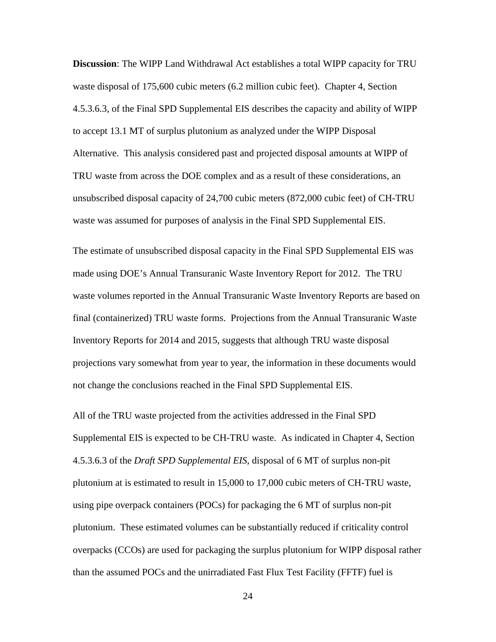**Discussion**: The WIPP Land Withdrawal Act establishes a total WIPP capacity for TRU waste disposal of 175,600 cubic meters (6.2 million cubic feet). Chapter 4, Section 4.5.3.6.3, of the Final SPD Supplemental EIS describes the capacity and ability of WIPP to accept 13.1 MT of surplus plutonium as analyzed under the WIPP Disposal Alternative. This analysis considered past and projected disposal amounts at WIPP of TRU waste from across the DOE complex and as a result of these considerations, an unsubscribed disposal capacity of 24,700 cubic meters (872,000 cubic feet) of CH-TRU waste was assumed for purposes of analysis in the Final SPD Supplemental EIS.

The estimate of unsubscribed disposal capacity in the Final SPD Supplemental EIS was made using DOE's Annual Transuranic Waste Inventory Report for 2012. The TRU waste volumes reported in the Annual Transuranic Waste Inventory Reports are based on final (containerized) TRU waste forms. Projections from the Annual Transuranic Waste Inventory Reports for 2014 and 2015, suggests that although TRU waste disposal projections vary somewhat from year to year, the information in these documents would not change the conclusions reached in the Final SPD Supplemental EIS.

All of the TRU waste projected from the activities addressed in the Final SPD Supplemental EIS is expected to be CH-TRU waste. As indicated in Chapter 4, Section 4.5.3.6.3 of the *Draft SPD Supplemental EIS,* disposal of 6 MT of surplus non-pit plutonium at is estimated to result in 15,000 to 17,000 cubic meters of CH-TRU waste, using pipe overpack containers (POCs) for packaging the 6 MT of surplus non-pit plutonium. These estimated volumes can be substantially reduced if criticality control overpacks (CCOs) are used for packaging the surplus plutonium for WIPP disposal rather than the assumed POCs and the unirradiated Fast Flux Test Facility (FFTF) fuel is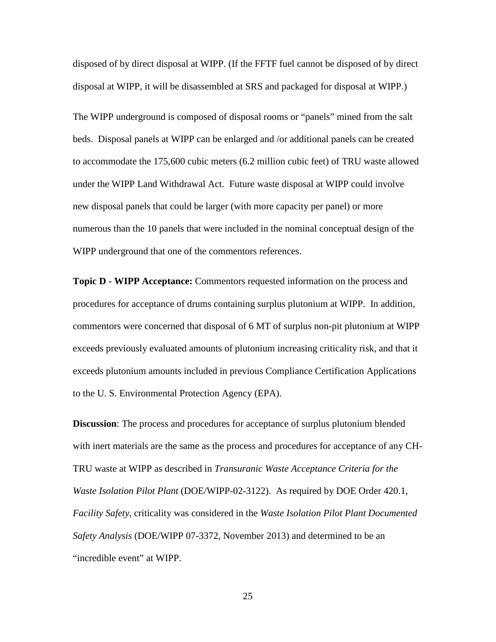disposed of by direct disposal at WIPP. (If the FFTF fuel cannot be disposed of by direct disposal at WIPP, it will be disassembled at SRS and packaged for disposal at WIPP.)

The WIPP underground is composed of disposal rooms or "panels" mined from the salt beds. Disposal panels at WIPP can be enlarged and /or additional panels can be created to accommodate the 175,600 cubic meters (6.2 million cubic feet) of TRU waste allowed under the WIPP Land Withdrawal Act. Future waste disposal at WIPP could involve new disposal panels that could be larger (with more capacity per panel) or more numerous than the 10 panels that were included in the nominal conceptual design of the WIPP underground that one of the commentors references.

**Topic D - WIPP Acceptance:** Commentors requested information on the process and procedures for acceptance of drums containing surplus plutonium at WIPP. In addition, commentors were concerned that disposal of 6 MT of surplus non-pit plutonium at WIPP exceeds previously evaluated amounts of plutonium increasing criticality risk, and that it exceeds plutonium amounts included in previous Compliance Certification Applications to the U. S. Environmental Protection Agency (EPA).

**Discussion**: The process and procedures for acceptance of surplus plutonium blended with inert materials are the same as the process and procedures for acceptance of any CH-TRU waste at WIPP as described in *Transuranic Waste Acceptance Criteria for the Waste Isolation Pilot Plant* (DOE/WIPP-02-3122). As required by DOE Order 420.1, *Facility Safety*, criticality was considered in the *Waste Isolation Pilot Plant Documented Safety Analysis* (DOE/WIPP 07-3372, November 2013) and determined to be an "incredible event" at WIPP.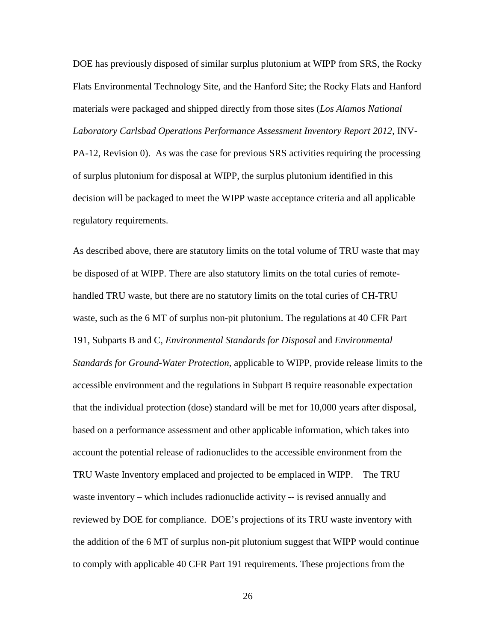DOE has previously disposed of similar surplus plutonium at WIPP from SRS, the Rocky Flats Environmental Technology Site, and the Hanford Site; the Rocky Flats and Hanford materials were packaged and shipped directly from those sites (*Los Alamos National Laboratory Carlsbad Operations Performance Assessment Inventory Report 2012*, INV-PA-12, Revision 0). As was the case for previous SRS activities requiring the processing of surplus plutonium for disposal at WIPP, the surplus plutonium identified in this decision will be packaged to meet the WIPP waste acceptance criteria and all applicable regulatory requirements.

As described above, there are statutory limits on the total volume of TRU waste that may be disposed of at WIPP. There are also statutory limits on the total curies of remotehandled TRU waste, but there are no statutory limits on the total curies of CH-TRU waste, such as the 6 MT of surplus non-pit plutonium. The regulations at 40 CFR Part 191, Subparts B and C, *Environmental Standards for Disposal* and *Environmental Standards for Ground-Water Protection*, applicable to WIPP, provide release limits to the accessible environment and the regulations in Subpart B require reasonable expectation that the individual protection (dose) standard will be met for 10,000 years after disposal, based on a performance assessment and other applicable information, which takes into account the potential release of radionuclides to the accessible environment from the TRU Waste Inventory emplaced and projected to be emplaced in WIPP. The TRU waste inventory – which includes radionuclide activity -- is revised annually and reviewed by DOE for compliance. DOE's projections of its TRU waste inventory with the addition of the 6 MT of surplus non-pit plutonium suggest that WIPP would continue to comply with applicable 40 CFR Part 191 requirements. These projections from the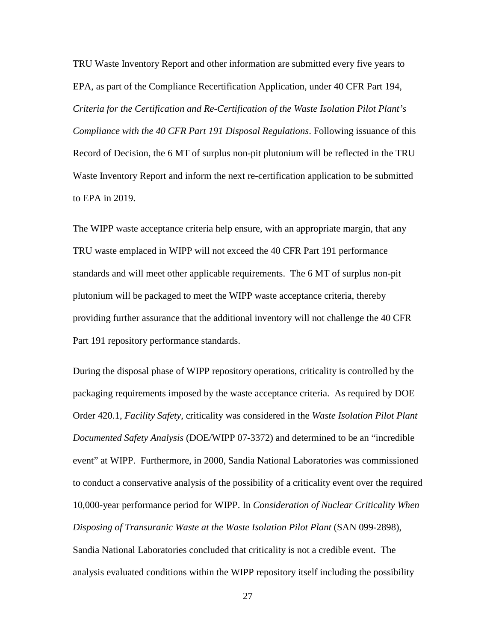TRU Waste Inventory Report and other information are submitted every five years to EPA, as part of the Compliance Recertification Application, under 40 CFR Part 194, *Criteria for the Certification and Re-Certification of the Waste Isolation Pilot Plant's Compliance with the 40 CFR Part 191 Disposal Regulations*. Following issuance of this Record of Decision, the 6 MT of surplus non-pit plutonium will be reflected in the TRU Waste Inventory Report and inform the next re-certification application to be submitted to EPA in 2019.

The WIPP waste acceptance criteria help ensure, with an appropriate margin, that any TRU waste emplaced in WIPP will not exceed the 40 CFR Part 191 performance standards and will meet other applicable requirements. The 6 MT of surplus non-pit plutonium will be packaged to meet the WIPP waste acceptance criteria, thereby providing further assurance that the additional inventory will not challenge the 40 CFR Part 191 repository performance standards.

During the disposal phase of WIPP repository operations, criticality is controlled by the packaging requirements imposed by the waste acceptance criteria. As required by DOE Order 420.1, *Facility Safety*, criticality was considered in the *Waste Isolation Pilot Plant Documented Safety Analysis* (DOE/WIPP 07-3372) and determined to be an "incredible event" at WIPP. Furthermore, in 2000, Sandia National Laboratories was commissioned to conduct a conservative analysis of the possibility of a criticality event over the required 10,000-year performance period for WIPP. In *Consideration of Nuclear Criticality When Disposing of Transuranic Waste at the Waste Isolation Pilot Plant* (SAN 099-2898), Sandia National Laboratories concluded that criticality is not a credible event. The

27

analysis evaluated conditions within the WIPP repository itself including the possibility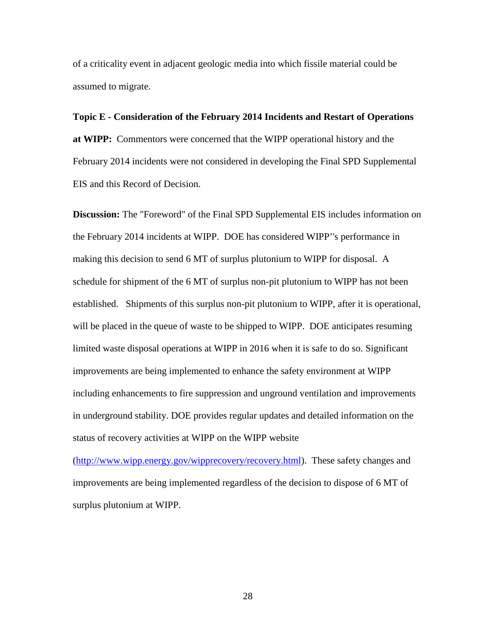of a criticality event in adjacent geologic media into which fissile material could be assumed to migrate.

**Topic E - Consideration of the February 2014 Incidents and Restart of Operations at WIPP:** Commentors were concerned that the WIPP operational history and the February 2014 incidents were not considered in developing the Final SPD Supplemental EIS and this Record of Decision.

**Discussion:** The "Foreword" of the Final SPD Supplemental EIS includes information on the February 2014 incidents at WIPP. DOE has considered WIPP''s performance in making this decision to send 6 MT of surplus plutonium to WIPP for disposal. A schedule for shipment of the 6 MT of surplus non-pit plutonium to WIPP has not been established. Shipments of this surplus non-pit plutonium to WIPP, after it is operational, will be placed in the queue of waste to be shipped to WIPP. DOE anticipates resuming limited waste disposal operations at WIPP in 2016 when it is safe to do so. Significant improvements are being implemented to enhance the safety environment at WIPP including enhancements to fire suppression and unground ventilation and improvements in underground stability. DOE provides regular updates and detailed information on the status of recovery activities at WIPP on the WIPP website

[\(http://www.wipp.energy.gov/wipprecovery/recovery.html\)](http://www.wipp.energy.gov/wipprecovery/recovery.html). These safety changes and improvements are being implemented regardless of the decision to dispose of 6 MT of surplus plutonium at WIPP.